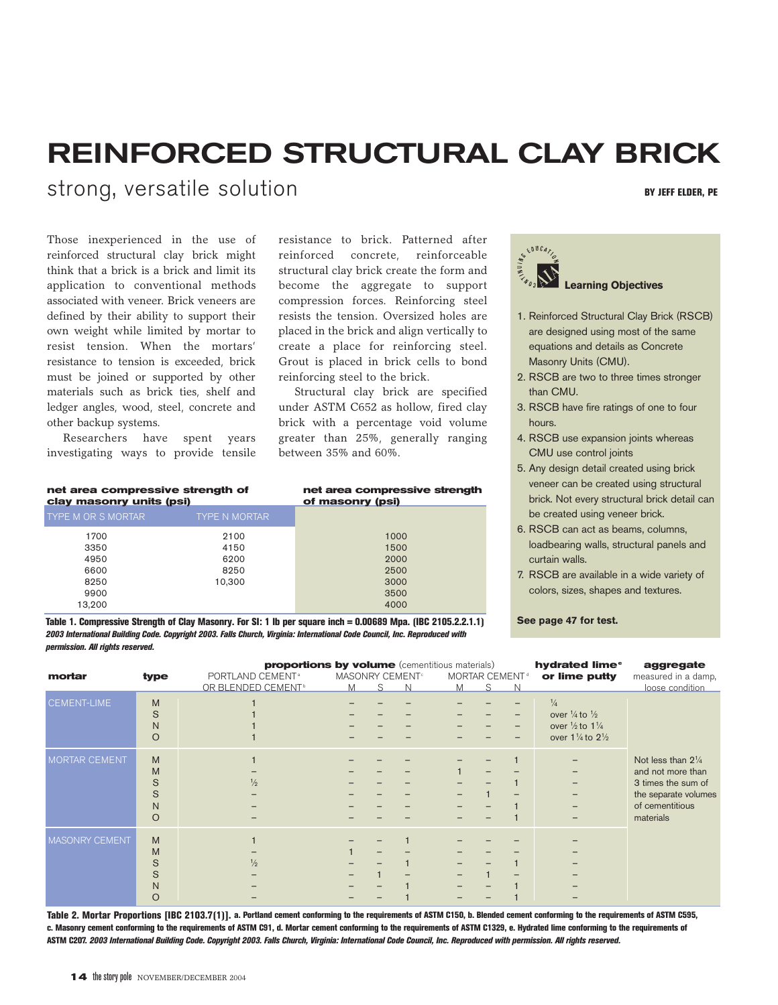# **REINFORCED STRUCTURAL CLAY BRICK**

strong, versatile solution **BY JUST SET ELDER, PE** 

Those inexperienced in the use of reinforced structural clay brick might think that a brick is a brick and limit its application to conventional methods associated with veneer. Brick veneers are defined by their ability to support their own weight while limited by mortar to resist tension. When the mortars' resistance to tension is exceeded, brick must be joined or supported by other materials such as brick ties, shelf and ledger angles, wood, steel, concrete and other backup systems.

Researchers have spent years investigating ways to provide tensile

**net area compressive strength of** 

resistance to brick. Patterned after reinforced concrete, reinforceable structural clay brick create the form and become the aggregate to support compression forces. Reinforcing steel resists the tension. Oversized holes are placed in the brick and align vertically to create a place for reinforcing steel. Grout is placed in brick cells to bond reinforcing steel to the brick.

Structural clay brick are specified under ASTM C652 as hollow, fired clay brick with a percentage void volume greater than 25%, generally ranging between 35% and 60%.

| net area compressive strength of<br>clay masonry units (psi) |                      | net area compressive strength<br>of masonry (psi) |
|--------------------------------------------------------------|----------------------|---------------------------------------------------|
| <b>TYPE M OR S MORTAR</b>                                    | <b>TYPE N MORTAR</b> |                                                   |
| 1700                                                         | 2100                 | 1000                                              |
| 3350                                                         | 4150                 | 1500                                              |
| 4950                                                         | 6200                 | 2000                                              |
| 6600                                                         | 8250                 | 2500                                              |
| 8250                                                         | 10.300               | 3000                                              |
| 9900                                                         |                      | 3500                                              |
| 13.200                                                       |                      | 4000                                              |

**Table 1. Compressive Strength of Clay Masonry. For SI: 1 lb per square inch = 0.00689 Mpa. (IBC 2105.2.2.1.1)** *2003 International Building Code. Copyright 2003. Falls Church, Virginia: International Code Council, Inc. Reproduced with permission. All rights reserved.*



- 1. Reinforced Structural Clay Brick (RSCB) are designed using most of the same equations and details as Concrete Masonry Units (CMU).
- 2. RSCB are two to three times stronger than CMU.
- 3. RSCB have fire ratings of one to four hours.
- 4. RSCB use expansion joints whereas CMU use control joints
- 5. Any design detail created using brick veneer can be created using structural brick. Not every structural brick detail can be created using veneer brick.
- 6. RSCB can act as beams, columns, loadbearing walls, structural panels and curtain walls.
- 7. RSCB are available in a wide variety of colors, sizes, shapes and textures.

**See page 47 for test.**

| mortar         | type                                         | <b>proportions by volume</b> (cementitious materials)<br>PORTLAND CEMENT <sup>a</sup><br>OR BLENDED CEMENT <sup>®</sup> | MASONRY CEMENT <sup>®</sup><br>M | S. | N | M | MORTAR CEMENT <sup>®</sup><br>S | $\mathbb N$              | hydrated lime <sup>®</sup><br>or lime putty                                                                                           | aggregate<br>measured in a damp,<br>loose condition                                                                             |
|----------------|----------------------------------------------|-------------------------------------------------------------------------------------------------------------------------|----------------------------------|----|---|---|---------------------------------|--------------------------|---------------------------------------------------------------------------------------------------------------------------------------|---------------------------------------------------------------------------------------------------------------------------------|
| CEMENT-LIME    | M<br>S<br>$\mathsf{N}$<br>$\circ$            |                                                                                                                         |                                  |    |   |   |                                 | -                        | $\frac{1}{4}$<br>over $\frac{1}{4}$ to $\frac{1}{2}$<br>over $\frac{1}{2}$ to $1\frac{1}{4}$<br>over $1\frac{1}{4}$ to $2\frac{1}{2}$ |                                                                                                                                 |
| MORTAR CEMENT  | M<br>M<br>S<br>S<br>$\mathsf{N}$<br>$\Omega$ | $\frac{1}{2}$                                                                                                           |                                  |    |   |   |                                 |                          |                                                                                                                                       | Not less than $2\frac{1}{4}$<br>and not more than<br>3 times the sum of<br>the separate volumes<br>of cementitious<br>materials |
| MASONRY CEMENT | M<br>M<br>S<br>S<br>$\mathsf{N}$<br>O        | $\frac{1}{2}$                                                                                                           |                                  |    |   |   |                                 | $\overline{\phantom{0}}$ |                                                                                                                                       |                                                                                                                                 |

**Table 2. Mortar Proportions [IBC 2103.7(1)]. a. Portland cement conforming to the requirements of ASTM C150, b. Blended cement conforming to the requirements of ASTM C595, c. Masonry cement conforming to the requirements of ASTM C91, d. Mortar cement conforming to the requirements of ASTM C1329, e. Hydrated lime conforming to the requirements of ASTM C207.** *2003 International Building Code. Copyright 2003. Falls Church, Virginia: International Code Council, Inc. Reproduced with permission. All rights reserved.*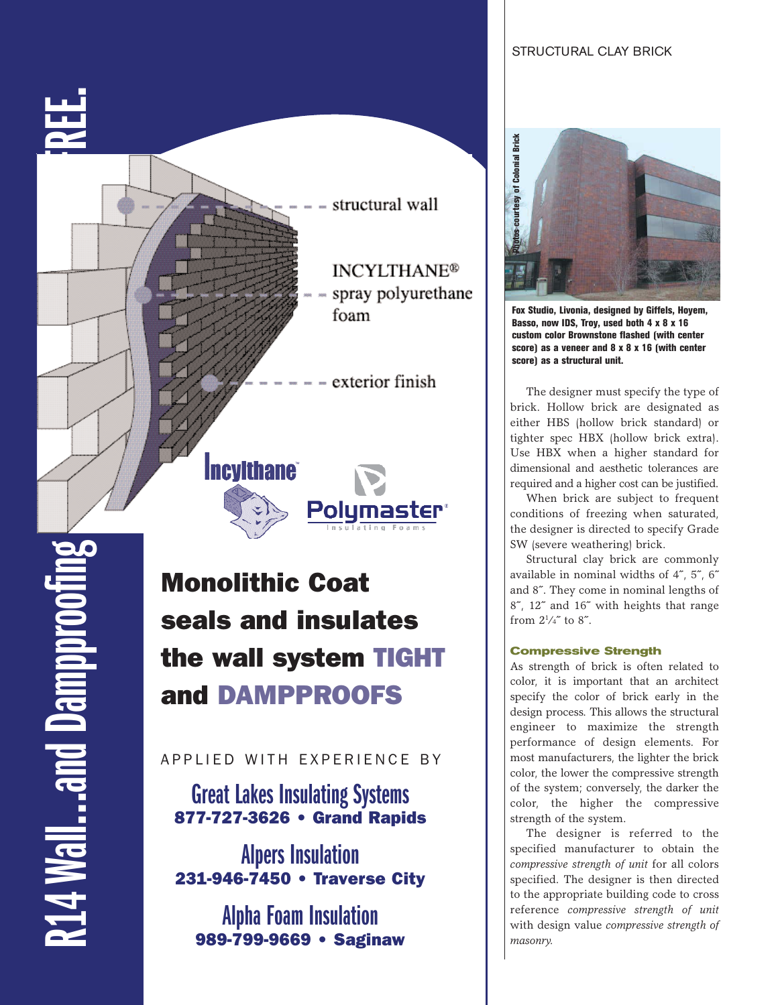### STRUCTURAL CLAY BRICK



**14 Wall...and Damppro** 

Monolithic Coat seals and insulates the wall system TIGHT and DAMPPROOFS

APPLIED WITH EXPERIENCE BY

**Great Lakes Insulating Systems** 877-727-3626 • Grand Rapids

**Alpers Insulation** 231-946-7450 • Traverse City

**Alpha Foam Insulation** 989-799-9669 • Saginaw



**Fox Studio, Livonia, designed by Giffels, Hoyem, Basso, now IDS, Troy, used both 4 x 8 x 16 custom color Brownstone flashed (with center score) as a veneer and 8 x 8 x 16 (with center score) as a structural unit.**

The designer must specify the type of brick. Hollow brick are designated as either HBS (hollow brick standard) or tighter spec HBX (hollow brick extra). Use HBX when a higher standard for dimensional and aesthetic tolerances are required and a higher cost can be justified.

When brick are subject to frequent conditions of freezing when saturated, the designer is directed to specify Grade SW (severe weathering) brick.

Structural clay brick are commonly available in nominal widths of 4˝, 5˝, 6˝ and 8˝. They come in nominal lengths of 8˝, 12˝ and 16˝ with heights that range from  $2\frac{1}{4}$  to 8<sup> $\degree$ </sup>.

### **Compressive Strength**

As strength of brick is often related to color, it is important that an architect specify the color of brick early in the design process. This allows the structural engineer to maximize the strength performance of design elements. For most manufacturers, the lighter the brick color, the lower the compressive strength of the system; conversely, the darker the color, the higher the compressive strength of the system.

The designer is referred to the specified manufacturer to obtain the *compressive strength of unit* for all colors specified. The designer is then directed to the appropriate building code to cross reference *compressive strength of unit* with design value *compressive strength of masonry.*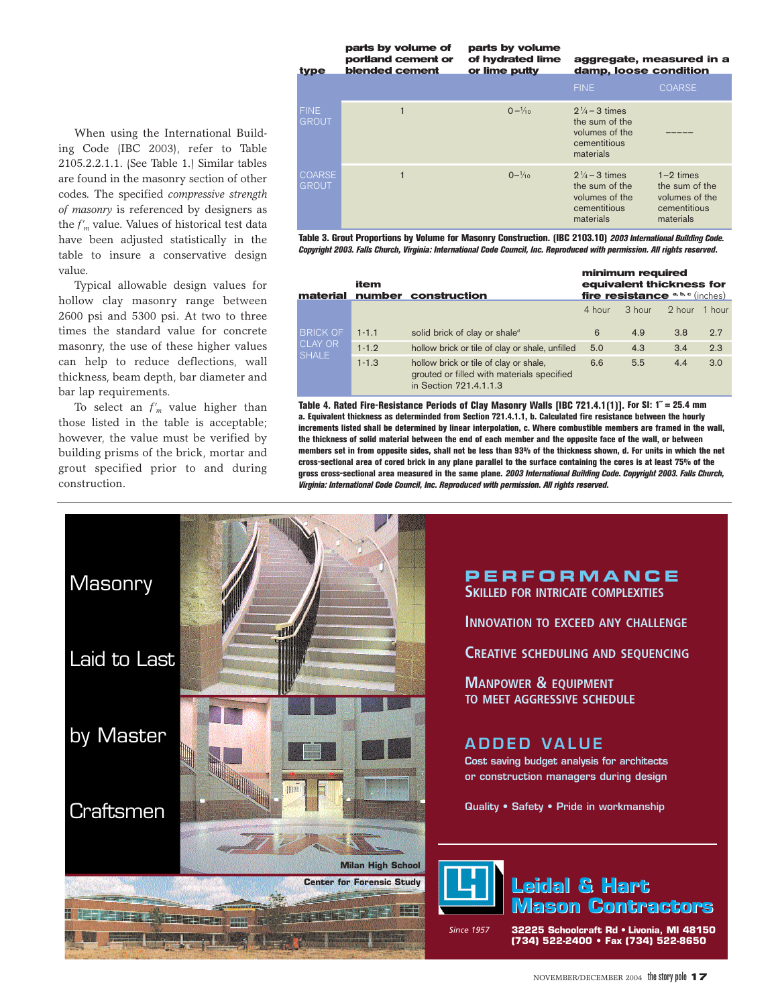FINE COARSE  $F\cup F$  1 0–1/<sub>0</sub><br>GROUT  $\frac{4}{10}$  2<sup>1</sup>/<sub>4</sub> – 3 times the sum of the volumes of the cementitious materials  $\begin{array}{ccc} \text{COARSE} & 1 & 0 & 0 & \end{array}$  $\frac{4}{10}$  2<sup>1</sup>/<sub>4</sub> – 3 times 1–2 times  $\begin{array}{llll} \text{GROUT} & \text{the sum of the} & \text{the sum of the} \end{array}$ volumes of the volumes of the<br>cementitious cementitious cementitious cementitious<br>materials materials materials materials **type parts by volume of hydrated lime or lime putty aggregate, measured in a damp, loose condition parts by volume of portland cement or blended cement**

**Table 3. Grout Proportions by Volume for Masonry Construction. (IBC 2103.10)** *2003 International Building Code. Copyright 2003. Falls Church, Virginia: International Code Council, Inc. Reproduced with permission. All rights reserved***.**

| material                                          | item      | number construction                                                                                            | minimum required<br>equivalent thickness for<br>fire resistance $a, b, c$ (inches) |        |          |        |  |  |  |
|---------------------------------------------------|-----------|----------------------------------------------------------------------------------------------------------------|------------------------------------------------------------------------------------|--------|----------|--------|--|--|--|
|                                                   |           |                                                                                                                | 4 hour                                                                             | 3 hour | $2$ hour | 1 hour |  |  |  |
| <b>BRICK OF</b><br><b>CLAY OR</b><br><b>SHALE</b> | $1 - 1.1$ | solid brick of clay or shale <sup>d</sup>                                                                      | 6                                                                                  | 4.9    | 3.8      | 2.7    |  |  |  |
|                                                   | $1 - 1.2$ | hollow brick or tile of clay or shale, unfilled                                                                | 5.0                                                                                | 4.3    | 3.4      | 2.3    |  |  |  |
|                                                   | $1 - 1.3$ | hollow brick or tile of clay or shale,<br>grouted or filled with materials specified<br>in Section 721.4.1.1.3 | 6.6                                                                                | 5.5    | 4.4      | 3.0    |  |  |  |

**Table 4. Rated Fire-Resistance Periods of Clay Masonry Walls [IBC 721.4.1(1)]. For SI: 1˝ = 25.4 mm a. Equivalent thickness as determinded from Section 721.4.1.1, b. Calculated fire resistance between the hourly increments listed shall be determined by linear interpolation, c. Where combustible members are framed in the wall, the thickness of solid material between the end of each member and the opposite face of the wall, or between members set in from opposite sides, shall not be less than 93% of the thickness shown, d. For units in which the net cross-sectional area of cored brick in any plane parallel to the surface containing the cores is at least 75% of the gross cross-sectional area measured in the same plane.** *2003 International Building Code. Copyright 2003. Falls Church, Virginia: International Code Council, Inc. Reproduced with permission. All rights reserved.*

When using the International Building Code (IBC 2003), refer to Table 2105.2.2.1.1. (See Table 1.) Similar tables are found in the masonry section of other codes. The specified *compressive strength of masonry* is referenced by designers as the *f'm* value. Values of historical test data have been adjusted statistically in the table to insure a conservative design value.

Typical allowable design values for hollow clay masonry range between 2600 psi and 5300 psi. At two to three times the standard value for concrete masonry, the use of these higher values can help to reduce deflections, wall thickness, beam depth, bar diameter and bar lap requirements.

To select an  $f'_m$  value higher than those listed in the table is acceptable; however, the value must be verified by building prisms of the brick, mortar and grout specified prior to and during construction.



**PERFORMANCE SKILLED FOR INTRICATE COMPLEXITIES**

**INNOVATION TO EXCEED ANY CHALLENGE**

**CREATIVE SCHEDULING AND SEQUENCING**

**MANPOWER & EQUIPMENT TO MEET AGGRESSIVE SCHEDULE**

### **ADDED VALUE**

**Cost saving budget analysis for architects or construction managers during design** 

**Quality • Safety • Pride in workmanship**

### **Leidal & Hart Leidal & Hart Mason Contractors Mason Contractors**

*Since 1957*

**32225 Schoolcraft Rd • Livonia, MI 48150 (734) 522-2400 • Fax (734) 522-8650**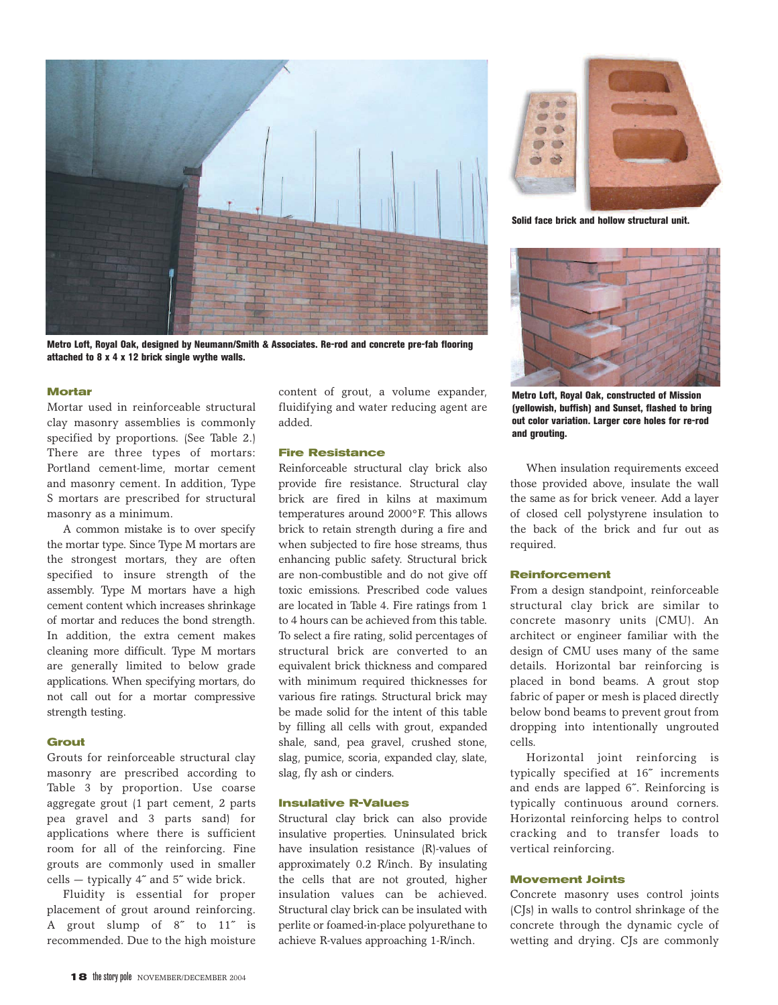

**Metro Loft, Royal Oak, designed by Neumann/Smith & Associates. Re-rod and concrete pre-fab flooring attached to 8 x 4 x 12 brick single wythe walls.** 

#### **Mortar**

Mortar used in reinforceable structural clay masonry assemblies is commonly specified by proportions. (See Table 2.) There are three types of mortars: Portland cement-lime, mortar cement and masonry cement. In addition, Type S mortars are prescribed for structural masonry as a minimum.

A common mistake is to over specify the mortar type. Since Type M mortars are the strongest mortars, they are often specified to insure strength of the assembly. Type M mortars have a high cement content which increases shrinkage of mortar and reduces the bond strength. In addition, the extra cement makes cleaning more difficult. Type M mortars are generally limited to below grade applications. When specifying mortars, do not call out for a mortar compressive strength testing.

#### **Grout**

Grouts for reinforceable structural clay masonry are prescribed according to Table 3 by proportion. Use coarse aggregate grout (1 part cement, 2 parts pea gravel and 3 parts sand) for applications where there is sufficient room for all of the reinforcing. Fine grouts are commonly used in smaller cells — typically 4˝ and 5˝ wide brick.

Fluidity is essential for proper placement of grout around reinforcing. A grout slump of 8˝ to 11˝ is recommended. Due to the high moisture content of grout, a volume expander, fluidifying and water reducing agent are added.

#### **Fire Resistance**

Reinforceable structural clay brick also provide fire resistance. Structural clay brick are fired in kilns at maximum temperatures around 2000°F. This allows brick to retain strength during a fire and when subjected to fire hose streams, thus enhancing public safety. Structural brick are non-combustible and do not give off toxic emissions. Prescribed code values are located in Table 4. Fire ratings from 1 to 4 hours can be achieved from this table. To select a fire rating, solid percentages of structural brick are converted to an equivalent brick thickness and compared with minimum required thicknesses for various fire ratings. Structural brick may be made solid for the intent of this table by filling all cells with grout, expanded shale, sand, pea gravel, crushed stone, slag, pumice, scoria, expanded clay, slate, slag, fly ash or cinders.

#### **Insulative R-Values**

Structural clay brick can also provide insulative properties. Uninsulated brick have insulation resistance (R)-values of approximately 0.2 R/inch. By insulating the cells that are not grouted, higher insulation values can be achieved. Structural clay brick can be insulated with perlite or foamed-in-place polyurethane to achieve R-values approaching 1-R/inch.



**Solid face brick and hollow structural unit.**



**Metro Loft, Royal Oak, constructed of Mission (yellowish, buffish) and Sunset, flashed to bring out color variation. Larger core holes for re-rod and grouting.**

When insulation requirements exceed those provided above, insulate the wall the same as for brick veneer. Add a layer of closed cell polystyrene insulation to the back of the brick and fur out as required.

#### **Reinforcement**

From a design standpoint, reinforceable structural clay brick are similar to concrete masonry units (CMU). An architect or engineer familiar with the design of CMU uses many of the same details. Horizontal bar reinforcing is placed in bond beams. A grout stop fabric of paper or mesh is placed directly below bond beams to prevent grout from dropping into intentionally ungrouted cells.

Horizontal joint reinforcing is typically specified at 16˝ increments and ends are lapped 6˝. Reinforcing is typically continuous around corners. Horizontal reinforcing helps to control cracking and to transfer loads to vertical reinforcing.

#### **Movement Joints**

Concrete masonry uses control joints (CJs) in walls to control shrinkage of the concrete through the dynamic cycle of wetting and drying. CJs are commonly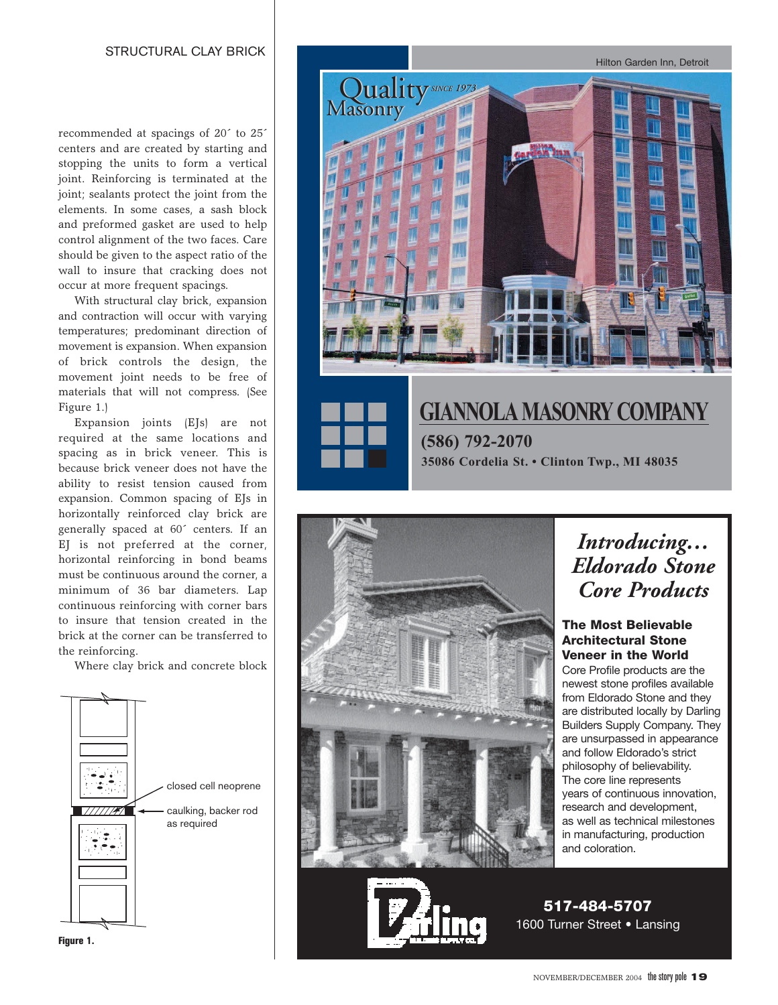recommended at spacings of 20´ to 25´ centers and are created by starting and stopping the units to form a vertical joint. Reinforcing is terminated at the joint; sealants protect the joint from the elements. In some cases, a sash block and preformed gasket are used to help control alignment of the two faces. Care should be given to the aspect ratio of the wall to insure that cracking does not occur at more frequent spacings.

With structural clay brick, expansion and contraction will occur with varying temperatures; predominant direction of movement is expansion. When expansion of brick controls the design, the movement joint needs to be free of materials that will not compress. (See Figure 1.)

Expansion joints (EJs) are not required at the same locations and spacing as in brick veneer. This is because brick veneer does not have the ability to resist tension caused from expansion. Common spacing of EJs in horizontally reinforced clay brick are generally spaced at 60´ centers. If an EJ is not preferred at the corner, horizontal reinforcing in bond beams must be continuous around the corner, a minimum of 36 bar diameters. Lap continuous reinforcing with corner bars to insure that tension created in the brick at the corner can be transferred to the reinforcing.

Where clay brick and concrete block







### *Introducing… Eldorado Stone Core Products*

#### **The Most Believable Architectural Stone Veneer in the World**

Core Profile products are the newest stone profiles available from Eldorado Stone and they are distributed locally by Darling Builders Supply Company. They are unsurpassed in appearance and follow Eldorado's strict philosophy of believability. The core line represents years of continuous innovation, research and development, as well as technical milestones in manufacturing, production and coloration.

**517-484-5707** 1600 Turner Street • Lansing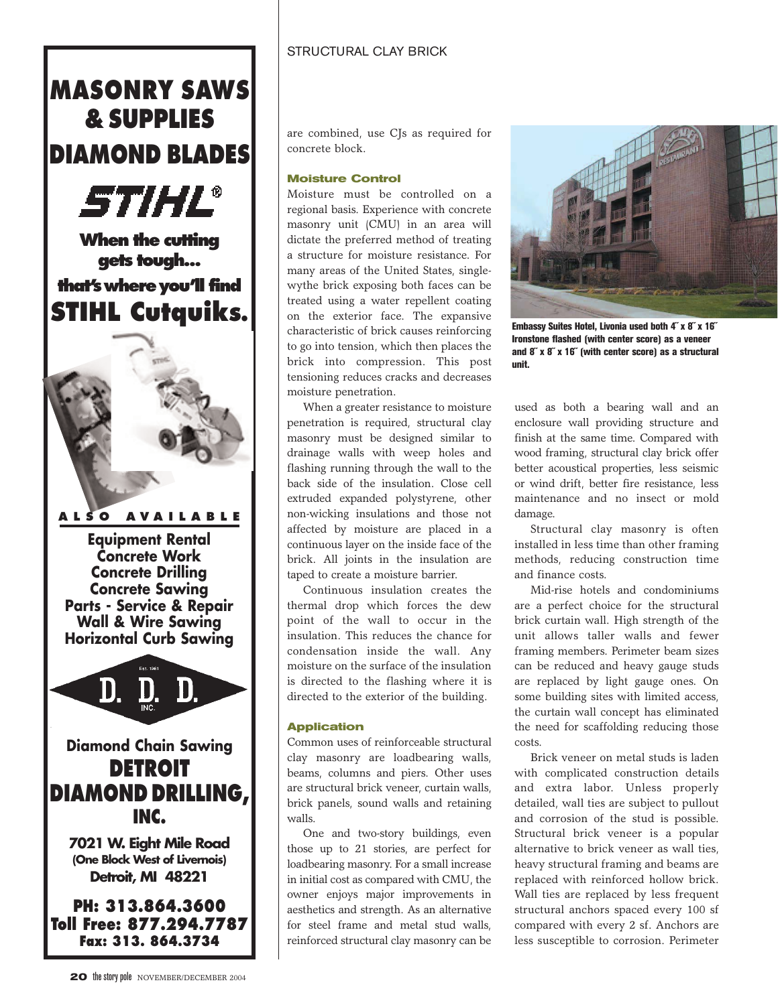## **MASONRY SAWS & SUPPLIES DIAMOND BLADES**



**Equipment Rental Concrete Work** 

**Concrete Drilling Concrete Sawing Parts - Service & Repair Wall & Wire Sawing Horizontal Curb Sawing**



# **DIAMOND DRILLING, INC.**

**7021 W. Eight Mile Road (One Block West of Livernois) Detroit, MI 48221**

**PH: 313.864.3600 Toll Free: 877.294.7787 Fax: 313. 864.3734**

are combined, use CJs as required for concrete block.

#### **Moisture Control**

Moisture must be controlled on a regional basis. Experience with concrete masonry unit (CMU) in an area will dictate the preferred method of treating a structure for moisture resistance. For many areas of the United States, singlewythe brick exposing both faces can be treated using a water repellent coating on the exterior face. The expansive characteristic of brick causes reinforcing to go into tension, which then places the brick into compression. This post tensioning reduces cracks and decreases moisture penetration.

When a greater resistance to moisture penetration is required, structural clay masonry must be designed similar to drainage walls with weep holes and flashing running through the wall to the back side of the insulation. Close cell extruded expanded polystyrene, other non-wicking insulations and those not affected by moisture are placed in a continuous layer on the inside face of the brick. All joints in the insulation are taped to create a moisture barrier.

Continuous insulation creates the thermal drop which forces the dew point of the wall to occur in the insulation. This reduces the chance for condensation inside the wall. Any moisture on the surface of the insulation is directed to the flashing where it is directed to the exterior of the building.

#### **Application**

Common uses of reinforceable structural clay masonry are loadbearing walls, beams, columns and piers. Other uses are structural brick veneer, curtain walls, brick panels, sound walls and retaining walls.

One and two-story buildings, even those up to 21 stories, are perfect for loadbearing masonry. For a small increase in initial cost as compared with CMU, the owner enjoys major improvements in aesthetics and strength. As an alternative for steel frame and metal stud walls, reinforced structural clay masonry can be



**Embassy Suites Hotel, Livonia used both 4˝ x 8˝ x 16˝ Ironstone flashed (with center score) as a veneer and 8˝ x 8˝ x 16˝ (with center score) as a structural unit.**

used as both a bearing wall and an enclosure wall providing structure and finish at the same time. Compared with wood framing, structural clay brick offer better acoustical properties, less seismic or wind drift, better fire resistance, less maintenance and no insect or mold damage.

Structural clay masonry is often installed in less time than other framing methods, reducing construction time and finance costs.

Mid-rise hotels and condominiums are a perfect choice for the structural brick curtain wall. High strength of the unit allows taller walls and fewer framing members. Perimeter beam sizes can be reduced and heavy gauge studs are replaced by light gauge ones. On some building sites with limited access, the curtain wall concept has eliminated the need for scaffolding reducing those costs.

Brick veneer on metal studs is laden with complicated construction details and extra labor. Unless properly detailed, wall ties are subject to pullout and corrosion of the stud is possible. Structural brick veneer is a popular alternative to brick veneer as wall ties, heavy structural framing and beams are replaced with reinforced hollow brick. Wall ties are replaced by less frequent structural anchors spaced every 100 sf compared with every 2 sf. Anchors are less susceptible to corrosion. Perimeter